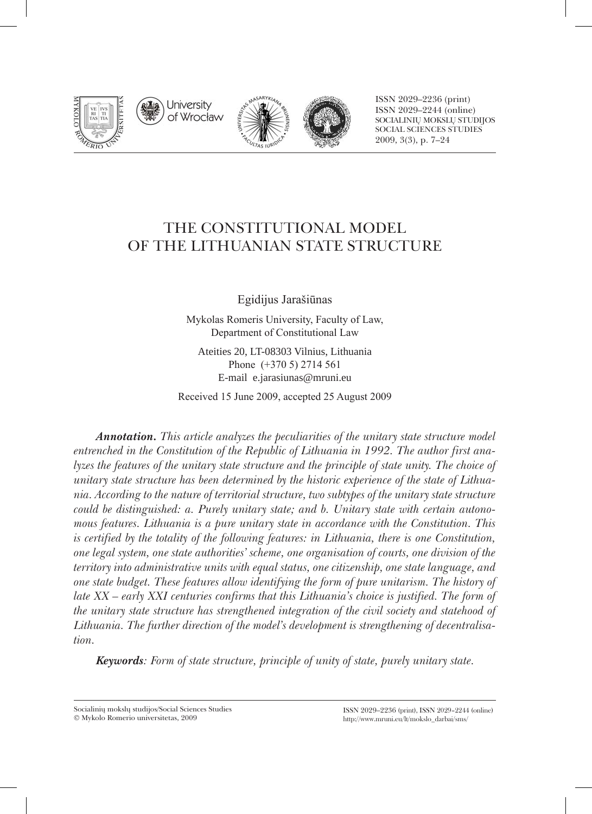

University of Wrocław





ISSN 2029–2236 (print) ISSN 2029–2244 (online) Socialinių mokslų studijos Social Sciences Studies 2009, 3(3), p. 7–24

# THE CONSTITUTIONAL MODEL OF THE LITHUANIAN STATE STRUCTURE

Egidijus Jarašiūnas

Mykolas Romeris University, Faculty of Law, Department of Constitutional Law

Ateities 20, LT-08303 Vilnius, Lithuania Phone (+370 5) 2714 561 E-mail e.jarasiunas@mruni.eu

Received 15 June 2009, accepted 25 August 2009

*Annotation. This article analyzes the peculiarities of the unitary state structure model entrenched in the Constitution of the Republic of Lithuania in 1992. The author first analyzes the features of the unitary state structure and the principle of state unity. The choice of unitary state structure has been determined by the historic experience of the state of Lithuania. According to the nature of territorial structure, two subtypes of the unitary state structure could be distinguished: a. Purely unitary state; and b. Unitary state with certain autonomous features. Lithuania is a pure unitary state in accordance with the Constitution. This is certified by the totality of the following features: in Lithuania, there is one Constitution, one legal system, one state authorities' scheme, one organisation of courts, one division of the territory into administrative units with equal status, one citizenship, one state language, and one state budget. These features allow identifying the form of pure unitarism. The history of late XX – early XXI centuries confirms that this Lithuania's choice is justified. The form of the unitary state structure has strengthened integration of the civil society and statehood of Lithuania. The further direction of the model's development is strengthening of decentralisation.* 

*Keywords: Form of state structure, principle of unity of state, purely unitary state.*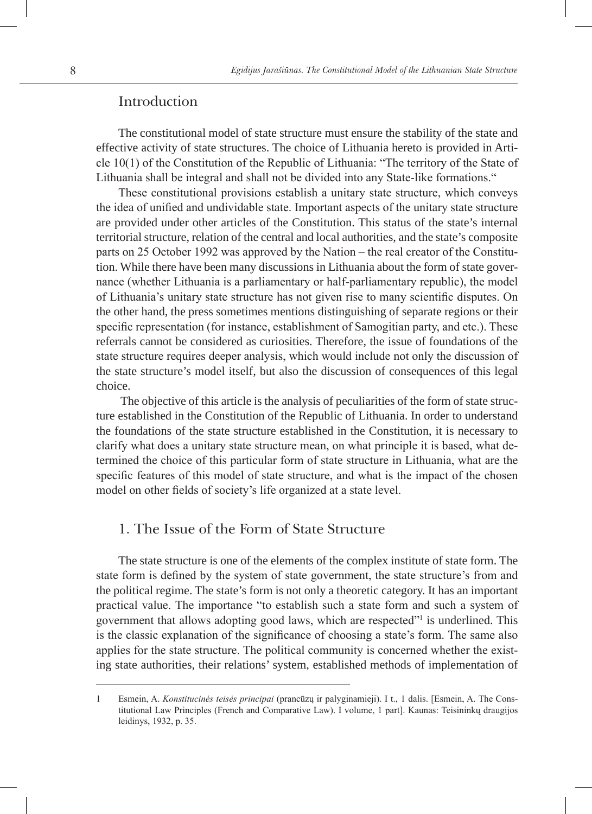### Introduction

The constitutional model of state structure must ensure the stability of the state and effective activity of state structures. The choice of Lithuania hereto is provided in Article 10(1) of the Constitution of the Republic of Lithuania: "The territory of the State of Lithuania shall be integral and shall not be divided into any State-like formations."

These constitutional provisions establish a unitary state structure, which conveys the idea of unified and undividable state. Important aspects of the unitary state structure are provided under other articles of the Constitution. This status of the state's internal territorial structure, relation of the central and local authorities, and the state's composite parts on 25 October 1992 was approved by the Nation – the real creator of the Constitution. While there have been many discussions in Lithuania about the form of state governance (whether Lithuania is a parliamentary or half-parliamentary republic), the model of Lithuania's unitary state structure has not given rise to many scientific disputes. On the other hand, the press sometimes mentions distinguishing of separate regions or their specific representation (for instance, establishment of Samogitian party, and etc.). These referrals cannot be considered as curiosities. Therefore, the issue of foundations of the state structure requires deeper analysis, which would include not only the discussion of the state structure's model itself, but also the discussion of consequences of this legal choice.

The objective of this article is the analysis of peculiarities of the form of state structure established in the Constitution of the Republic of Lithuania. In order to understand the foundations of the state structure established in the Constitution, it is necessary to clarify what does a unitary state structure mean, on what principle it is based, what determined the choice of this particular form of state structure in Lithuania, what are the specific features of this model of state structure, and what is the impact of the chosen model on other fields of society's life organized at a state level.

### 1. The Issue of the Form of State Structure

The state structure is one of the elements of the complex institute of state form. The state form is defined by the system of state government, the state structure's from and the political regime. The state's form is not only a theoretic category. It has an important practical value. The importance "to establish such a state form and such a system of government that allows adopting good laws, which are respected" is underlined. This is the classic explanation of the significance of choosing a state's form. The same also applies for the state structure. The political community is concerned whether the existing state authorities, their relations' system, established methods of implementation of

Esmein, A. *Konstitucinės teisės principai* (prancūzų ir palyginamieji). I t., 1 dalis. [Esmein, A. The Cons- $\mathbf{1}$ titutional Law Principles (French and Comparative Law). I volume, 1 part]. Kaunas: Teisininkų draugijos leidinys, 1932, p. 35.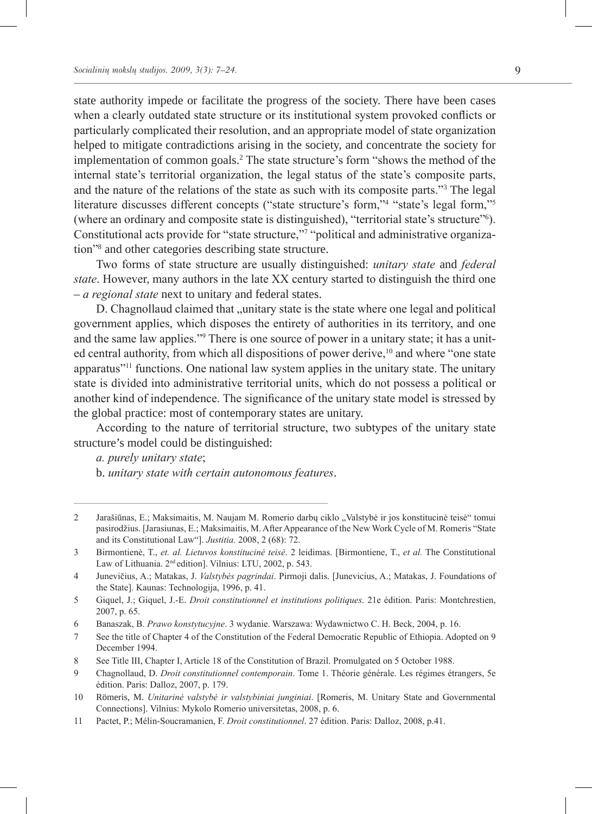state authority impede or facilitate the progress of the society. There have been cases when a clearly outdated state structure or its institutional system provoked conflicts or particularly complicated their resolution, and an appropriate model of state organization helped to mitigate contradictions arising in the society, and concentrate the society for implementation of common goals.<sup>2</sup> The state structure's form "shows the method of the internal state's territorial organization, the legal status of the state's composite parts, and the nature of the relations of the state as such with its composite parts." $3$  The legal literature discusses different concepts ("state structure's form,"<sup>4</sup> "state's legal form,"<sup>5</sup> (where an ordinary and composite state is distinguished), "territorial state's structure" ). Constitutional acts provide for "state structure,"<sup>7</sup> "political and administrative organization"<sup>8</sup> and other categories describing state structure.

Two forms of state structure are usually distinguished: *unitary state* and *federal state*. However, many authors in the late XX century started to distinguish the third one – *a regional state* next to unitary and federal states.

D. Chagnollaud claimed that "unitary state is the state where one legal and political government applies, which disposes the entirety of authorities in its territory, and one and the same law applies."<sup>9</sup> There is one source of power in a unitary state; it has a united central authority, from which all dispositions of power derive,<sup>10</sup> and where "one state apparatus"11 functions. One national law system applies in the unitary state. The unitary state is divided into administrative territorial units, which do not possess a political or another kind of independence. The significance of the unitary state model is stressed by the global practice: most of contemporary states are unitary.

According to the nature of territorial structure, two subtypes of the unitary state structure's model could be distinguished:

*a. purely unitary state*; b. *unitary state with certain autonomous features*.

 $\mathfrak{D}$ Jarašiūnas, E.; Maksimaitis, M. Naujam M. Romerio darbų ciklo "Valstybė ir jos konstitucinė teisė" tomui pasirodžius. [Jarasiunas, E.; Maksimaitis, M. After Appearance of the New Work Cycle of M. Romeris "State and its Constitutional Law"]. *Justitia.* 2008, 2 (68): 72.

 $\overline{3}$ Birmontienė, T., *et. al. Lietuvos konstitucinė teisė*. 2 leidimas. [Birmontiene, T., *et al.* The Constitutional Law of Lithuania. 2<sup>nd</sup> edition]. Vilnius: LTU, 2002, p. 543.

Junevičius, A.; Matakas, J. *Valstybės pagrindai*. Pirmoji dalis. [Junevicius, A.; Matakas, J. Foundations of  $\overline{4}$ the State]. Kaunas: Technologija, 1996, p. 41.

<sup>5</sup> Giquel, J.; Giquel, J.-E. *Droit constitutionnel et institutions politiques*. 21e édition. Paris: Montchrestien, 2007, p. 65.

Banaszak, B. *Prawo konstytucyjne*. 3 wydanie. Warszawa: Wydawnictwo C. H. Beck, 2004, p. 16. 6

See the title of Chapter 4 of the Constitution of the Federal Democratic Republic of Ethiopia. Adopted on 9  $\overline{7}$ December 1994.

<sup>8</sup> See Title III, Chapter I, Article 18 of the Constitution of Brazil. Promulgated on 5 October 1988.

 $\overline{Q}$ Chagnollaud, D. *Droit constitutionnel contemporain*. Tome 1. Théorie générale. Les régimes étrangers, 5e édition. Paris: Dalloz, 2007, p. 179.

<sup>10</sup> Römeris, M. *Unitarinė valstybė ir valstybiniai junginiai*. [Romeris, M. Unitary State and Governmental Connections]. Vilnius: Mykolo Romerio universitetas, 2008, p. 6.

<sup>11</sup> Pactet, P.; Mélin-Soucramanien, F. *Droit constitutionnel*. 27 édition. Paris: Dalloz, 2008, p.41.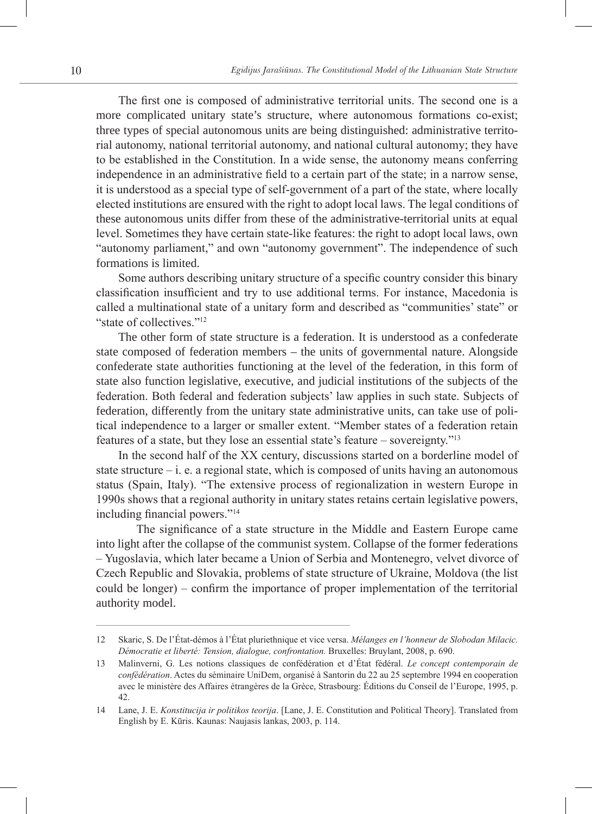The first one is composed of administrative territorial units. The second one is a more complicated unitary state's structure, where autonomous formations co-exist; three types of special autonomous units are being distinguished: administrative territorial autonomy, national territorial autonomy, and national cultural autonomy; they have to be established in the Constitution. In a wide sense, the autonomy means conferring independence in an administrative field to a certain part of the state; in a narrow sense, it is understood as a special type of self-government of a part of the state, where locally elected institutions are ensured with the right to adopt local laws. The legal conditions of these autonomous units differ from these of the administrative-territorial units at equal level. Sometimes they have certain state-like features: the right to adopt local laws, own "autonomy parliament," and own "autonomy government". The independence of such formations is limited.

Some authors describing unitary structure of a specific country consider this binary classification insufficient and try to use additional terms. For instance, Macedonia is called a multinational state of a unitary form and described as "communities' state" or "state of collectives"<sup>12</sup>

The other form of state structure is a federation. It is understood as a confederate state composed of federation members – the units of governmental nature. Alongside confederate state authorities functioning at the level of the federation, in this form of state also function legislative, executive, and judicial institutions of the subjects of the federation. Both federal and federation subjects' law applies in such state. Subjects of federation, differently from the unitary state administrative units, can take use of political independence to a larger or smaller extent. "Member states of a federation retain features of a state, but they lose an essential state's feature – sovereignty."13

In the second half of the XX century, discussions started on a borderline model of state structure  $-i$ , e. a regional state, which is composed of units having an autonomous status (Spain, Italy). "The extensive process of regionalization in western Europe in 1990s shows that a regional authority in unitary states retains certain legislative powers, including financial powers."14

The significance of a state structure in the Middle and Eastern Europe came into light after the collapse of the communist system. Collapse of the former federations – Yugoslavia, which later became a Union of Serbia and Montenegro, velvet divorce of Czech Republic and Slovakia, problems of state structure of Ukraine, Moldova (the list could be longer) – confirm the importance of proper implementation of the territorial authority model.

<sup>12</sup> Skaric, S. De l'État-démos à l'État pluriethnique et vice versa. *Mélanges en l'honneur de Slobodan Milacic. Démocratie et liberté: Tension, dialogue, confrontation.* Bruxelles: Bruylant, 2008, p. 690.

<sup>13</sup> Malinverni, G. Les notions classiques de confédération et d'État fédéral. *Le concept contemporain de confédération*. Actes du séminaire UniDem, organisé à Santorin du 22 au 25 septembre 1994 en cooperation avec le ministère des Affaires étrangères de la Grèce, Strasbourg: Éditions du Conseil de l'Europe, 1995, p. 42.

<sup>14</sup> Lane, J. E. *Konstitucija ir politikos teorija*. [Lane, J. E. Constitution and Political Theory]. Translated from English by E. Kūris. Kaunas: Naujasis lankas, 2003, p. 114.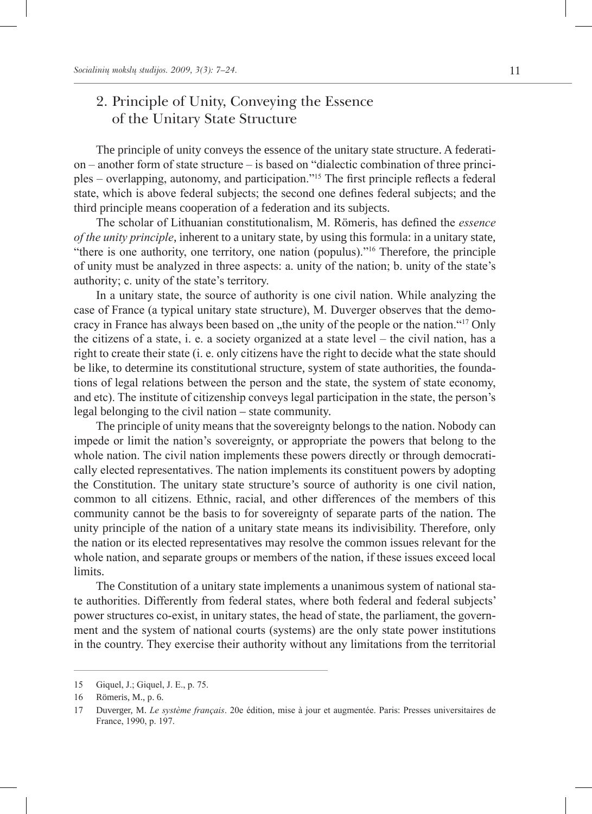## 2. Principle of Unity, Conveying the Essence of the Unitary State Structure

The principle of unity conveys the essence of the unitary state structure. A federation – another form of state structure – is based on "dialectic combination of three principles – overlapping, autonomy, and participation."15 The first principle reflects a federal state, which is above federal subjects; the second one defines federal subjects; and the third principle means cooperation of a federation and its subjects.

The scholar of Lithuanian constitutionalism, M. Römeris, has defined the *essence of the unity principle*, inherent to a unitary state, by using this formula: in a unitary state, "there is one authority, one territory, one nation (populus)."16 Therefore, the principle of unity must be analyzed in three aspects: a. unity of the nation; b. unity of the state's authority; c. unity of the state's territory.

In a unitary state, the source of authority is one civil nation. While analyzing the case of France (a typical unitary state structure), M. Duverger observes that the democracy in France has always been based on "the unity of the people or the nation."<sup>17</sup> Only the citizens of a state, i. e. a society organized at a state level – the civil nation, has a right to create their state (i. e. only citizens have the right to decide what the state should be like, to determine its constitutional structure, system of state authorities, the foundations of legal relations between the person and the state, the system of state economy, and etc). The institute of citizenship conveys legal participation in the state, the person's legal belonging to the civil nation – state community.

The principle of unity means that the sovereignty belongs to the nation. Nobody can impede or limit the nation's sovereignty, or appropriate the powers that belong to the whole nation. The civil nation implements these powers directly or through democratically elected representatives. The nation implements its constituent powers by adopting the Constitution. The unitary state structure's source of authority is one civil nation, common to all citizens. Ethnic, racial, and other differences of the members of this community cannot be the basis to for sovereignty of separate parts of the nation. The unity principle of the nation of a unitary state means its indivisibility. Therefore, only the nation or its elected representatives may resolve the common issues relevant for the whole nation, and separate groups or members of the nation, if these issues exceed local limits.

The Constitution of a unitary state implements a unanimous system of national state authorities. Differently from federal states, where both federal and federal subjects' power structures co-exist, in unitary states, the head of state, the parliament, the government and the system of national courts (systems) are the only state power institutions in the country. They exercise their authority without any limitations from the territorial

<sup>15</sup> Giquel, J.; Giquel, J. E., p. 75.

<sup>16</sup> Römeris, M., p. 6.

<sup>17</sup> Duverger, M. *Le système français*. 20e édition, mise à jour et augmentée. Paris: Presses universitaires de France, 1990, p. 197.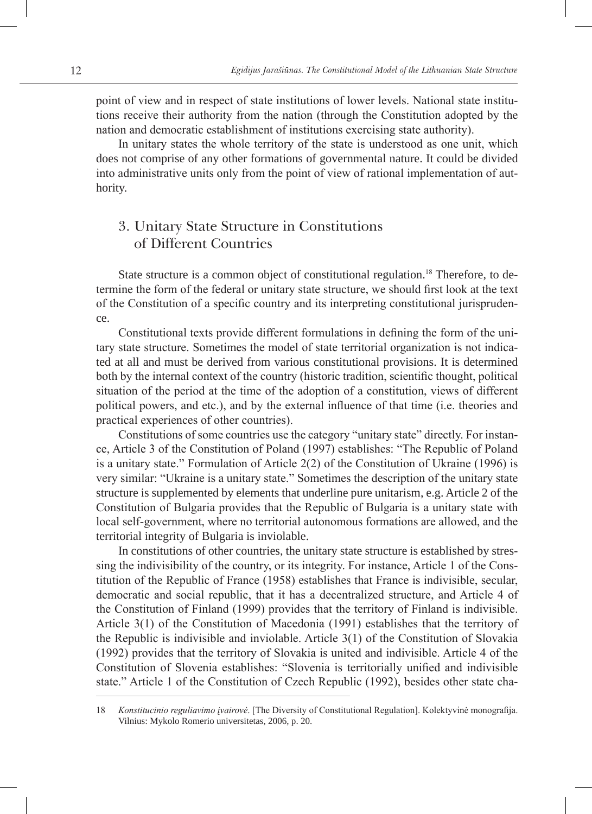point of view and in respect of state institutions of lower levels. National state institutions receive their authority from the nation (through the Constitution adopted by the nation and democratic establishment of institutions exercising state authority).

In unitary states the whole territory of the state is understood as one unit, which does not comprise of any other formations of governmental nature. It could be divided into administrative units only from the point of view of rational implementation of authority.

## 3. Unitary State Structure in Constitutions of Different Countries

State structure is a common object of constitutional regulation.<sup>18</sup> Therefore, to determine the form of the federal or unitary state structure, we should first look at the text of the Constitution of a specific country and its interpreting constitutional jurisprudence.

Constitutional texts provide different formulations in defining the form of the unitary state structure. Sometimes the model of state territorial organization is not indicated at all and must be derived from various constitutional provisions. It is determined both by the internal context of the country (historic tradition, scientific thought, political situation of the period at the time of the adoption of a constitution, views of different political powers, and etc.), and by the external influence of that time (i.e. theories and practical experiences of other countries).

Constitutions of some countries use the category "unitary state" directly. For instance, Article 3 of the Constitution of Poland (1997) establishes: "The Republic of Poland is a unitary state." Formulation of Article 2(2) of the Constitution of Ukraine (1996) is very similar: "Ukraine is a unitary state." Sometimes the description of the unitary state structure is supplemented by elements that underline pure unitarism, e.g. Article 2 of the Constitution of Bulgaria provides that the Republic of Bulgaria is a unitary state with local self-government, where no territorial autonomous formations are allowed, and the territorial integrity of Bulgaria is inviolable.

In constitutions of other countries, the unitary state structure is established by stressing the indivisibility of the country, or its integrity. For instance, Article 1 of the Constitution of the Republic of France (1958) establishes that France is indivisible, secular, democratic and social republic, that it has a decentralized structure, and Article 4 of the Constitution of Finland (1999) provides that the territory of Finland is indivisible. Article 3(1) of the Constitution of Macedonia (1991) establishes that the territory of the Republic is indivisible and inviolable. Article 3(1) of the Constitution of Slovakia (1992) provides that the territory of Slovakia is united and indivisible. Article 4 of the Constitution of Slovenia establishes: "Slovenia is territorially unified and indivisible state." Article 1 of the Constitution of Czech Republic (1992), besides other state cha-

<sup>18</sup> *Konstitucinio reguliavimo įvairovė*. [The Diversity of Constitutional Regulation]. Kolektyvinė monografija. Vilnius: Mykolo Romerio universitetas, 2006, p. 20.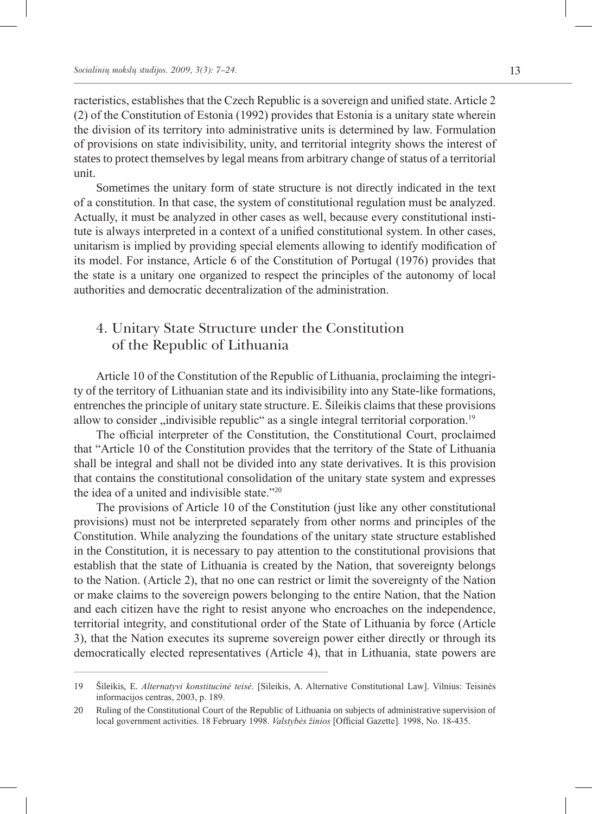racteristics, establishes that the Czech Republic is a sovereign and unified state. Article 2 (2) of the Constitution of Estonia (1992) provides that Estonia is a unitary state wherein the division of its territory into administrative units is determined by law. Formulation of provisions on state indivisibility, unity, and territorial integrity shows the interest of states to protect themselves by legal means from arbitrary change of status of a territorial unit.

Sometimes the unitary form of state structure is not directly indicated in the text of a constitution. In that case, the system of constitutional regulation must be analyzed. Actually, it must be analyzed in other cases as well, because every constitutional institute is always interpreted in a context of a unified constitutional system. In other cases, unitarism is implied by providing special elements allowing to identify modification of its model. For instance, Article 6 of the Constitution of Portugal (1976) provides that the state is a unitary one organized to respect the principles of the autonomy of local authorities and democratic decentralization of the administration.

### 4. Unitary State Structure under the Constitution of the Republic of Lithuania

Article 10 of the Constitution of the Republic of Lithuania, proclaiming the integrity of the territory of Lithuanian state and its indivisibility into any State-like formations, entrenches the principle of unitary state structure. E. Šileikis claims that these provisions allow to consider  $\ldots$  indivisible republic as a single integral territorial corporation.<sup>19</sup>

The official interpreter of the Constitution, the Constitutional Court, proclaimed that "Article 10 of the Constitution provides that the territory of the State of Lithuania shall be integral and shall not be divided into any state derivatives. It is this provision that contains the constitutional consolidation of the unitary state system and expresses the idea of a united and indivisible state. $220$ 

The provisions of Article 10 of the Constitution (just like any other constitutional provisions) must not be interpreted separately from other norms and principles of the Constitution. While analyzing the foundations of the unitary state structure established in the Constitution, it is necessary to pay attention to the constitutional provisions that establish that the state of Lithuania is created by the Nation, that sovereignty belongs to the Nation. (Article 2), that no one can restrict or limit the sovereignty of the Nation or make claims to the sovereign powers belonging to the entire Nation, that the Nation and each citizen have the right to resist anyone who encroaches on the independence, territorial integrity, and constitutional order of the State of Lithuania by force (Article 3), that the Nation executes its supreme sovereign power either directly or through its democratically elected representatives (Article 4), that in Lithuania, state powers are

<sup>19</sup> Šileikis, E. *Alternatyvi konstitucinė teisė*. [Sileikis, A. Alternative Constitutional Law]. Vilnius: Teisinės informacijos centras, 2003, p. 189.

<sup>20</sup> Ruling of the Constitutional Court of the Republic of Lithuania on subjects of administrative supervision of local government activities. 18 February 1998. *Valstybės žinios* [Official Gazette]*.* 1998, No. 18-435.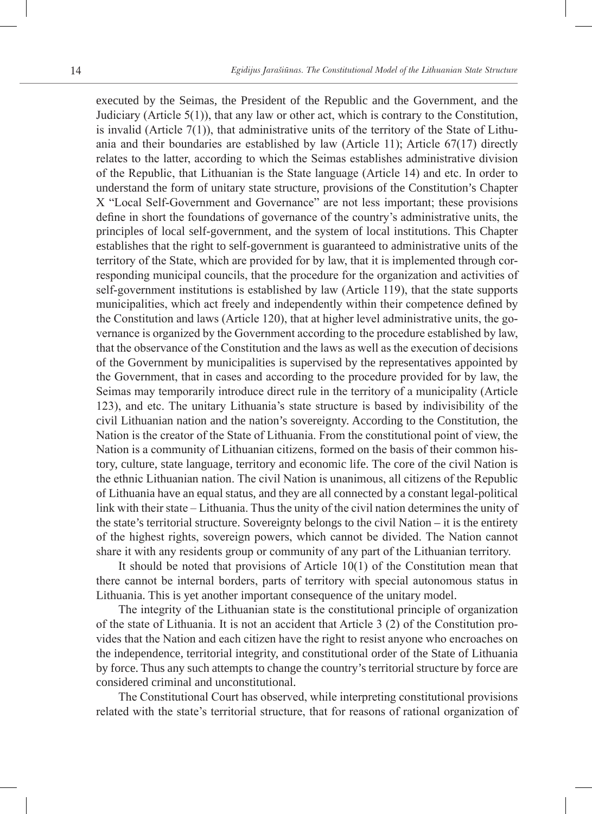executed by the Seimas, the President of the Republic and the Government, and the Judiciary (Article 5(1)), that any law or other act, which is contrary to the Constitution, is invalid (Article  $7(1)$ ), that administrative units of the territory of the State of Lithuania and their boundaries are established by law (Article 11); Article 67(17) directly relates to the latter, according to which the Seimas establishes administrative division of the Republic, that Lithuanian is the State language (Article 14) and etc. In order to understand the form of unitary state structure, provisions of the Constitution's Chapter X "Local Self-Government and Governance" are not less important; these provisions define in short the foundations of governance of the country's administrative units, the principles of local self-government, and the system of local institutions. This Chapter establishes that the right to self-government is guaranteed to administrative units of the territory of the State, which are provided for by law, that it is implemented through corresponding municipal councils, that the procedure for the organization and activities of self-government institutions is established by law (Article 119), that the state supports municipalities, which act freely and independently within their competence defined by the Constitution and laws (Article 120), that at higher level administrative units, the governance is organized by the Government according to the procedure established by law, that the observance of the Constitution and the laws as well as the execution of decisions of the Government by municipalities is supervised by the representatives appointed by the Government, that in cases and according to the procedure provided for by law, the Seimas may temporarily introduce direct rule in the territory of a municipality (Article 123), and etc. The unitary Lithuania's state structure is based by indivisibility of the civil Lithuanian nation and the nation's sovereignty. According to the Constitution, the Nation is the creator of the State of Lithuania. From the constitutional point of view, the Nation is a community of Lithuanian citizens, formed on the basis of their common history, culture, state language, territory and economic life. The core of the civil Nation is the ethnic Lithuanian nation. The civil Nation is unanimous, all citizens of the Republic of Lithuania have an equal status, and they are all connected by a constant legal-political link with their state – Lithuania. Thus the unity of the civil nation determines the unity of the state's territorial structure. Sovereignty belongs to the civil Nation – it is the entirety of the highest rights, sovereign powers, which cannot be divided. The Nation cannot share it with any residents group or community of any part of the Lithuanian territory.

It should be noted that provisions of Article 10(1) of the Constitution mean that there cannot be internal borders, parts of territory with special autonomous status in Lithuania. This is yet another important consequence of the unitary model.

The integrity of the Lithuanian state is the constitutional principle of organization of the state of Lithuania. It is not an accident that Article 3 (2) of the Constitution provides that the Nation and each citizen have the right to resist anyone who encroaches on the independence, territorial integrity, and constitutional order of the State of Lithuania by force. Thus any such attempts to change the country's territorial structure by force are considered criminal and unconstitutional.

The Constitutional Court has observed, while interpreting constitutional provisions related with the state's territorial structure, that for reasons of rational organization of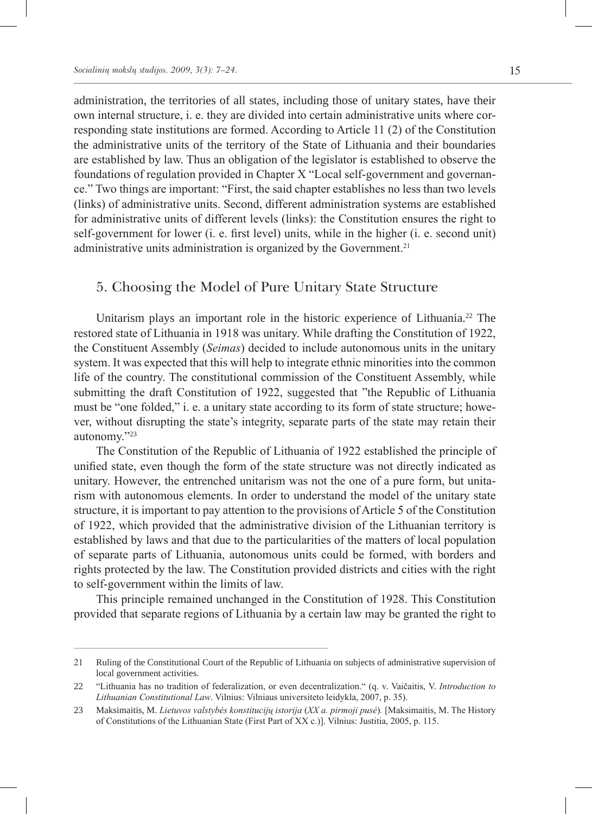administration, the territories of all states, including those of unitary states, have their own internal structure, i. e. they are divided into certain administrative units where corresponding state institutions are formed. According to Article 11 (2) of the Constitution the administrative units of the territory of the State of Lithuania and their boundaries are established by law. Thus an obligation of the legislator is established to observe the foundations of regulation provided in Chapter X "Local self-government and governance." Two things are important: "First, the said chapter establishes no less than two levels (links) of administrative units. Second, different administration systems are established for administrative units of different levels (links): the Constitution ensures the right to self-government for lower (i. e. first level) units, while in the higher (i. e. second unit) administrative units administration is organized by the Government.<sup>21</sup>

### 5. Choosing the Model of Pure Unitary State Structure

Unitarism plays an important role in the historic experience of Lithuania.<sup>22</sup> The restored state of Lithuania in 1918 was unitary. While drafting the Constitution of 1922, the Constituent Assembly (*Seimas*) decided to include autonomous units in the unitary system. It was expected that this will help to integrate ethnic minorities into the common life of the country. The constitutional commission of the Constituent Assembly, while submitting the draft Constitution of 1922, suggested that "the Republic of Lithuania must be "one folded," i. e. a unitary state according to its form of state structure; however, without disrupting the state's integrity, separate parts of the state may retain their autonomy."<sup>23</sup>

The Constitution of the Republic of Lithuania of 1922 established the principle of unified state, even though the form of the state structure was not directly indicated as unitary. However, the entrenched unitarism was not the one of a pure form, but unitarism with autonomous elements. In order to understand the model of the unitary state structure, it is important to pay attention to the provisions of Article 5 of the Constitution of 1922, which provided that the administrative division of the Lithuanian territory is established by laws and that due to the particularities of the matters of local population of separate parts of Lithuania, autonomous units could be formed, with borders and rights protected by the law. The Constitution provided districts and cities with the right to self-government within the limits of law.

This principle remained unchanged in the Constitution of 1928. This Constitution provided that separate regions of Lithuania by a certain law may be granted the right to

<sup>21</sup> Ruling of the Constitutional Court of the Republic of Lithuania on subjects of administrative supervision of local government activities.

<sup>22</sup> "Lithuania has no tradition of federalization, or even decentralization." (q. v. Vaičaitis, V. *Introduction to Lithuanian Constitutional Law*. Vilnius: Vilniaus universiteto leidykla, 2007, p. 35).

<sup>23</sup> Maksimaitis, M. *Lietuvos valstybės konstitucijų istorija* (*XX a. pirmoji pusė*)*.* [Maksimaitis, M. The History of Constitutions of the Lithuanian State (First Part of XX c.)]. Vilnius: Justitia, 2005, p. 115.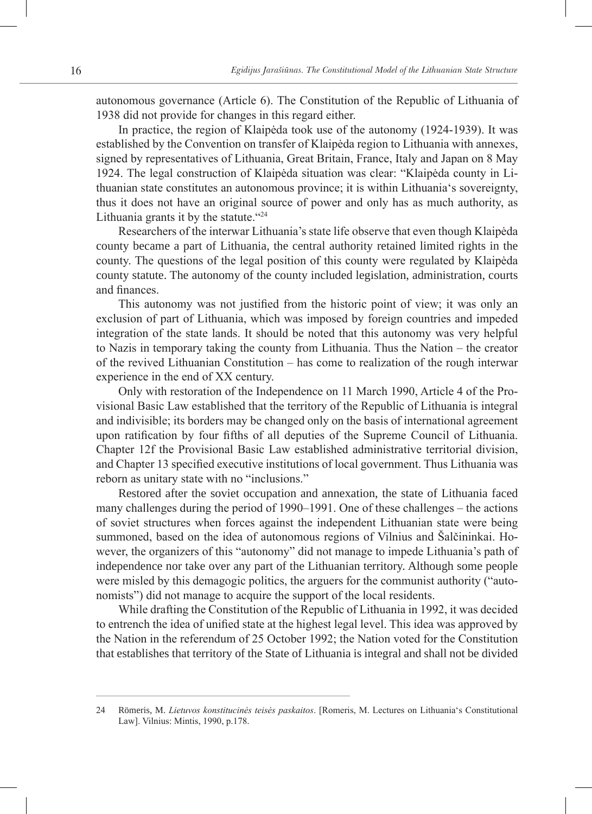autonomous governance (Article 6). The Constitution of the Republic of Lithuania of 1938 did not provide for changes in this regard either.

In practice, the region of Klaipėda took use of the autonomy (1924-1939). It was established by the Convention on transfer of Klaipėda region to Lithuania with annexes, signed by representatives of Lithuania, Great Britain, France, Italy and Japan on 8 May 1924. The legal construction of Klaipėda situation was clear: "Klaipėda county in Lithuanian state constitutes an autonomous province; it is within Lithuania's sovereignty, thus it does not have an original source of power and only has as much authority, as Lithuania grants it by the statute. $424$ 

Researchers of the interwar Lithuania's state life observe that even though Klaipėda county became a part of Lithuania, the central authority retained limited rights in the county. The questions of the legal position of this county were regulated by Klaipėda county statute. The autonomy of the county included legislation, administration, courts and finances.

This autonomy was not justified from the historic point of view; it was only an exclusion of part of Lithuania, which was imposed by foreign countries and impeded integration of the state lands. It should be noted that this autonomy was very helpful to Nazis in temporary taking the county from Lithuania. Thus the Nation – the creator of the revived Lithuanian Constitution – has come to realization of the rough interwar experience in the end of XX century.

Only with restoration of the Independence on 11 March 1990, Article 4 of the Provisional Basic Law established that the territory of the Republic of Lithuania is integral and indivisible; its borders may be changed only on the basis of international agreement upon ratification by four fifths of all deputies of the Supreme Council of Lithuania. Chapter 12f the Provisional Basic Law established administrative territorial division, and Chapter 13 specified executive institutions of local government. Thus Lithuania was reborn as unitary state with no "inclusions."

Restored after the soviet occupation and annexation, the state of Lithuania faced many challenges during the period of 1990–1991. One of these challenges – the actions of soviet structures when forces against the independent Lithuanian state were being summoned, based on the idea of autonomous regions of Vilnius and Šalčininkai. However, the organizers of this "autonomy" did not manage to impede Lithuania's path of independence nor take over any part of the Lithuanian territory. Although some people were misled by this demagogic politics, the arguers for the communist authority ("autonomists") did not manage to acquire the support of the local residents.

While drafting the Constitution of the Republic of Lithuania in 1992, it was decided to entrench the idea of unified state at the highest legal level. This idea was approved by the Nation in the referendum of 25 October 1992; the Nation voted for the Constitution that establishes that territory of the State of Lithuania is integral and shall not be divided

<sup>24</sup> Römeris, M. *Lietuvos konstitucinės teisės paskaitos*. [Romeris, M. Lectures on Lithuania's Constitutional Law]. Vilnius: Mintis, 1990, p.178.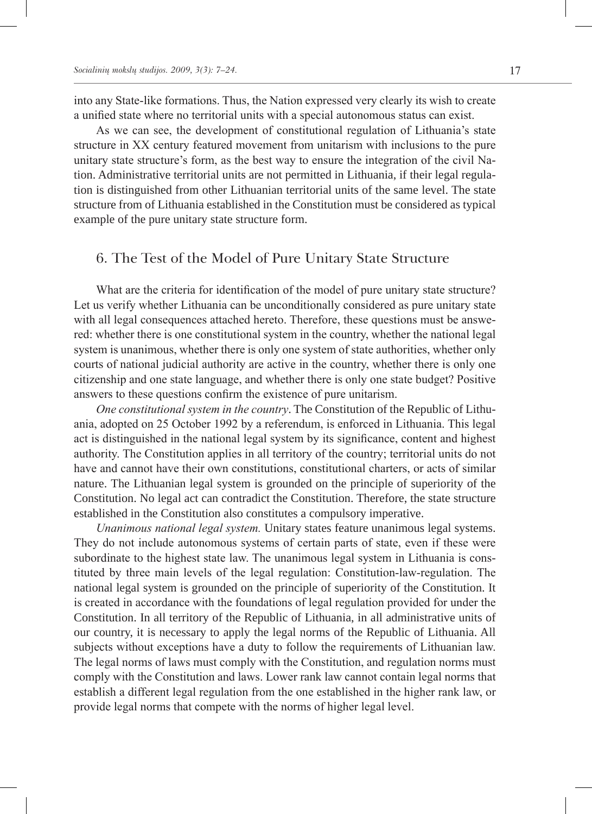into any State-like formations. Thus, the Nation expressed very clearly its wish to create a unified state where no territorial units with a special autonomous status can exist.

As we can see, the development of constitutional regulation of Lithuania's state structure in XX century featured movement from unitarism with inclusions to the pure unitary state structure's form, as the best way to ensure the integration of the civil Nation. Administrative territorial units are not permitted in Lithuania, if their legal regulation is distinguished from other Lithuanian territorial units of the same level. The state structure from of Lithuania established in the Constitution must be considered as typical example of the pure unitary state structure form.

#### 6. The Test of the Model of Pure Unitary State Structure

What are the criteria for identification of the model of pure unitary state structure? Let us verify whether Lithuania can be unconditionally considered as pure unitary state with all legal consequences attached hereto. Therefore, these questions must be answered: whether there is one constitutional system in the country, whether the national legal system is unanimous, whether there is only one system of state authorities, whether only courts of national judicial authority are active in the country, whether there is only one citizenship and one state language, and whether there is only one state budget? Positive answers to these questions confirm the existence of pure unitarism.

*One constitutional system in the country*. The Constitution of the Republic of Lithuania, adopted on 25 October 1992 by a referendum, is enforced in Lithuania. This legal act is distinguished in the national legal system by its significance, content and highest authority. The Constitution applies in all territory of the country; territorial units do not have and cannot have their own constitutions, constitutional charters, or acts of similar nature. The Lithuanian legal system is grounded on the principle of superiority of the Constitution. No legal act can contradict the Constitution. Therefore, the state structure established in the Constitution also constitutes a compulsory imperative.

*Unanimous national legal system.* Unitary states feature unanimous legal systems. They do not include autonomous systems of certain parts of state, even if these were subordinate to the highest state law. The unanimous legal system in Lithuania is constituted by three main levels of the legal regulation: Constitution-law-regulation. The national legal system is grounded on the principle of superiority of the Constitution. It is created in accordance with the foundations of legal regulation provided for under the Constitution. In all territory of the Republic of Lithuania, in all administrative units of our country, it is necessary to apply the legal norms of the Republic of Lithuania. All subjects without exceptions have a duty to follow the requirements of Lithuanian law. The legal norms of laws must comply with the Constitution, and regulation norms must comply with the Constitution and laws. Lower rank law cannot contain legal norms that establish a different legal regulation from the one established in the higher rank law, or provide legal norms that compete with the norms of higher legal level.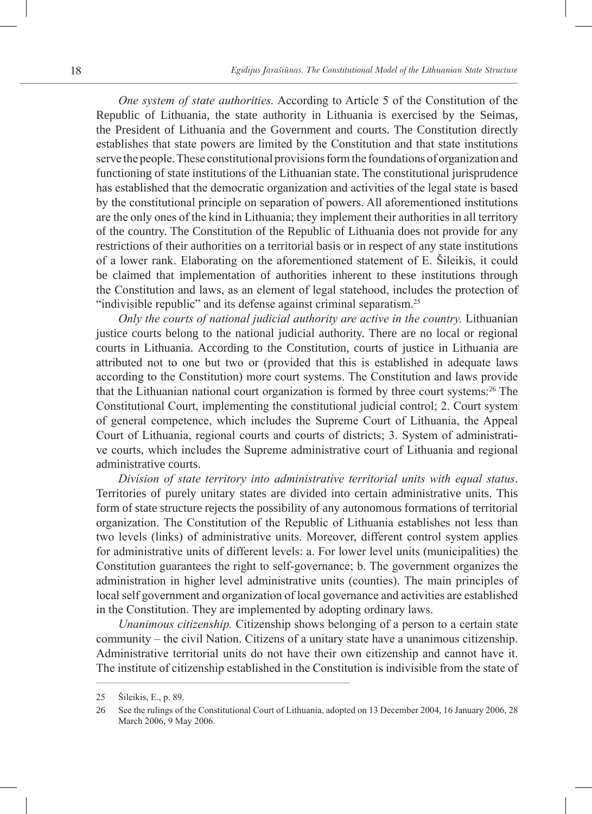*One system of state authorities.* According to Article 5 of the Constitution of the Republic of Lithuania, the state authority in Lithuania is exercised by the Seimas, the President of Lithuania and the Government and courts. The Constitution directly establishes that state powers are limited by the Constitution and that state institutions serve the people. These constitutional provisions form the foundations of organization and functioning of state institutions of the Lithuanian state. The constitutional jurisprudence has established that the democratic organization and activities of the legal state is based by the constitutional principle on separation of powers. All aforementioned institutions are the only ones of the kind in Lithuania; they implement their authorities in all territory of the country. The Constitution of the Republic of Lithuania does not provide for any restrictions of their authorities on a territorial basis or in respect of any state institutions of a lower rank. Elaborating on the aforementioned statement of E. Šileikis, it could be claimed that implementation of authorities inherent to these institutions through the Constitution and laws, as an element of legal statehood, includes the protection of "indivisible republic" and its defense against criminal separatism.<sup>25</sup>

*Only the courts of national judicial authority are active in the country.* Lithuanian justice courts belong to the national judicial authority. There are no local or regional courts in Lithuania. According to the Constitution, courts of justice in Lithuania are attributed not to one but two or (provided that this is established in adequate laws according to the Constitution) more court systems. The Constitution and laws provide that the Lithuanian national court organization is formed by three court systems:<sup>26</sup> The Constitutional Court, implementing the constitutional judicial control; 2. Court system of general competence, which includes the Supreme Court of Lithuania, the Appeal Court of Lithuania, regional courts and courts of districts; 3. System of administrative courts, which includes the Supreme administrative court of Lithuania and regional administrative courts.

*Division of state territory into administrative territorial units with equal status*. Territories of purely unitary states are divided into certain administrative units. This form of state structure rejects the possibility of any autonomous formations of territorial organization. The Constitution of the Republic of Lithuania establishes not less than two levels (links) of administrative units. Moreover, different control system applies for administrative units of different levels: a. For lower level units (municipalities) the Constitution guarantees the right to self-governance; b. The government organizes the administration in higher level administrative units (counties). The main principles of local self government and organization of local governance and activities are established in the Constitution. They are implemented by adopting ordinary laws.

*Unanimous citizenship.* Citizenship shows belonging of a person to a certain state community – the civil Nation. Citizens of a unitary state have a unanimous citizenship. Administrative territorial units do not have their own citizenship and cannot have it. The institute of citizenship established in the Constitution is indivisible from the state of

<sup>25</sup> Šileikis, E., p. 89.

<sup>26</sup> See the rulings of the Constitutional Court of Lithuania, adopted on 13 December 2004, 16 January 2006, 28 March 2006, 9 May 2006.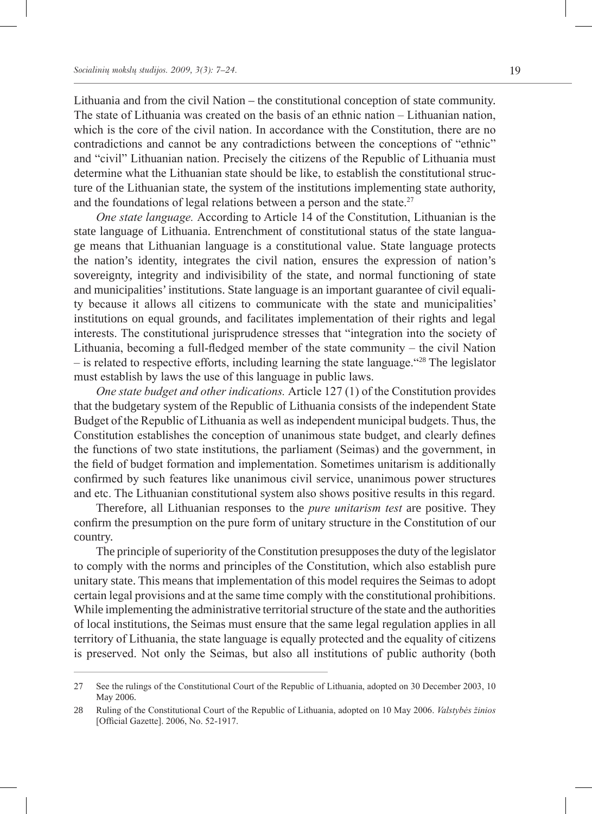Lithuania and from the civil Nation – the constitutional conception of state community. The state of Lithuania was created on the basis of an ethnic nation – Lithuanian nation, which is the core of the civil nation. In accordance with the Constitution, there are no contradictions and cannot be any contradictions between the conceptions of "ethnic" and "civil" Lithuanian nation. Precisely the citizens of the Republic of Lithuania must determine what the Lithuanian state should be like, to establish the constitutional structure of the Lithuanian state, the system of the institutions implementing state authority, and the foundations of legal relations between a person and the state.<sup>27</sup>

*One state language.* According to Article 14 of the Constitution, Lithuanian is the state language of Lithuania. Entrenchment of constitutional status of the state language means that Lithuanian language is a constitutional value. State language protects the nation's identity, integrates the civil nation, ensures the expression of nation's sovereignty, integrity and indivisibility of the state, and normal functioning of state and municipalities' institutions. State language is an important guarantee of civil equality because it allows all citizens to communicate with the state and municipalities' institutions on equal grounds, and facilitates implementation of their rights and legal interests. The constitutional jurisprudence stresses that "integration into the society of Lithuania, becoming a full-fledged member of the state community – the civil Nation  $-$  is related to respective efforts, including learning the state language. "<sup>28</sup> The legislator must establish by laws the use of this language in public laws.

*One state budget and other indications.* Article 127 (1) of the Constitution provides that the budgetary system of the Republic of Lithuania consists of the independent State Budget of the Republic of Lithuania as well as independent municipal budgets. Thus, the Constitution establishes the conception of unanimous state budget, and clearly defines the functions of two state institutions, the parliament (Seimas) and the government, in the field of budget formation and implementation. Sometimes unitarism is additionally confirmed by such features like unanimous civil service, unanimous power structures and etc. The Lithuanian constitutional system also shows positive results in this regard.

Therefore, all Lithuanian responses to the *pure unitarism test* are positive. They confirm the presumption on the pure form of unitary structure in the Constitution of our country.

The principle of superiority of the Constitution presupposes the duty of the legislator to comply with the norms and principles of the Constitution, which also establish pure unitary state. This means that implementation of this model requires the Seimas to adopt certain legal provisions and at the same time comply with the constitutional prohibitions. While implementing the administrative territorial structure of the state and the authorities of local institutions, the Seimas must ensure that the same legal regulation applies in all territory of Lithuania, the state language is equally protected and the equality of citizens is preserved. Not only the Seimas, but also all institutions of public authority (both

<sup>27</sup> See the rulings of the Constitutional Court of the Republic of Lithuania, adopted on 30 December 2003, 10 May 2006.

<sup>28</sup> Ruling of the Constitutional Court of the Republic of Lithuania, adopted on 10 May 2006. *Valstybės žinios* [Official Gazette]. 2006, No. 52-1917.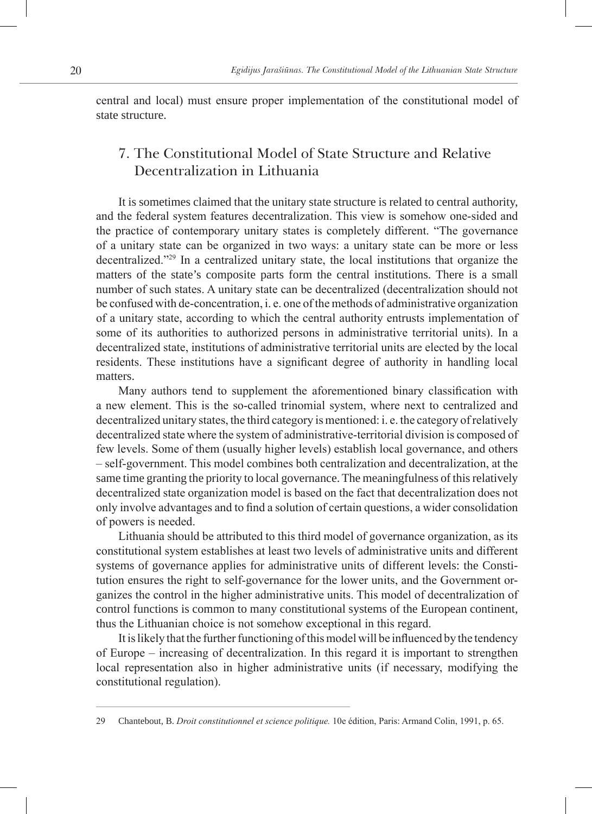central and local) must ensure proper implementation of the constitutional model of state structure.

## 7. The Constitutional Model of State Structure and Relative Decentralization in Lithuania

It is sometimes claimed that the unitary state structure is related to central authority, and the federal system features decentralization. This view is somehow one-sided and the practice of contemporary unitary states is completely different. "The governance of a unitary state can be organized in two ways: a unitary state can be more or less decentralized."29 In a centralized unitary state, the local institutions that organize the matters of the state's composite parts form the central institutions. There is a small number of such states. A unitary state can be decentralized (decentralization should not be confused with de-concentration, i. e. one of the methods of administrative organization of a unitary state, according to which the central authority entrusts implementation of some of its authorities to authorized persons in administrative territorial units). In a decentralized state, institutions of administrative territorial units are elected by the local residents. These institutions have a significant degree of authority in handling local matters.

Many authors tend to supplement the aforementioned binary classification with a new element. This is the so-called trinomial system, where next to centralized and decentralized unitary states, the third category is mentioned: i. e. the category of relatively decentralized state where the system of administrative-territorial division is composed of few levels. Some of them (usually higher levels) establish local governance, and others – self-government. This model combines both centralization and decentralization, at the same time granting the priority to local governance. The meaningfulness of this relatively decentralized state organization model is based on the fact that decentralization does not only involve advantages and to find a solution of certain questions, a wider consolidation of powers is needed.

Lithuania should be attributed to this third model of governance organization, as its constitutional system establishes at least two levels of administrative units and different systems of governance applies for administrative units of different levels: the Constitution ensures the right to self-governance for the lower units, and the Government organizes the control in the higher administrative units. This model of decentralization of control functions is common to many constitutional systems of the European continent, thus the Lithuanian choice is not somehow exceptional in this regard.

It is likely that the further functioning of this model will be influenced by the tendency of Europe – increasing of decentralization. In this regard it is important to strengthen local representation also in higher administrative units (if necessary, modifying the constitutional regulation).

<sup>29</sup> Chantebout, B. *Droit constitutionnel et science politique.* 10e édition, Paris: Armand Colin, 1991, p. 65.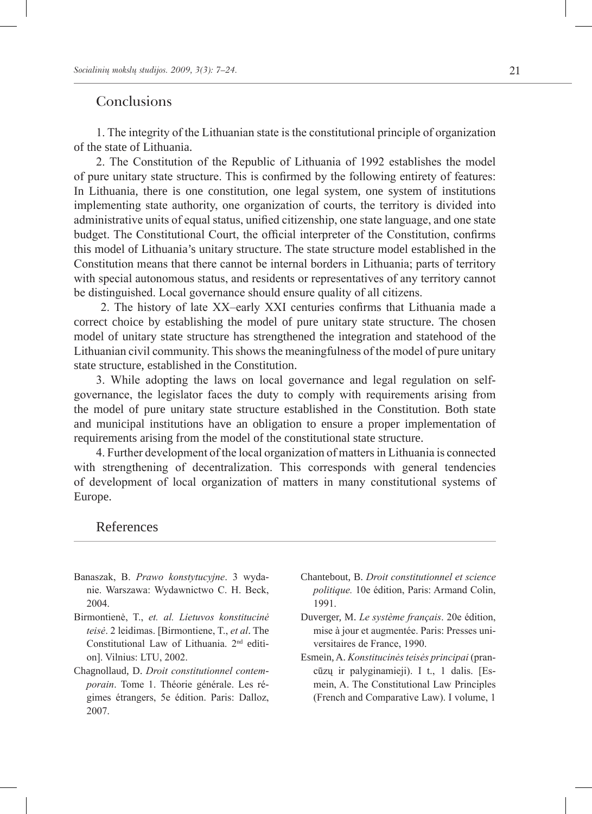#### **Conclusions**

1. The integrity of the Lithuanian state is the constitutional principle of organization of the state of Lithuania.

2. The Constitution of the Republic of Lithuania of 1992 establishes the model of pure unitary state structure. This is confirmed by the following entirety of features: In Lithuania, there is one constitution, one legal system, one system of institutions implementing state authority, one organization of courts, the territory is divided into administrative units of equal status, unified citizenship, one state language, and one state budget. The Constitutional Court, the official interpreter of the Constitution, confirms this model of Lithuania's unitary structure. The state structure model established in the Constitution means that there cannot be internal borders in Lithuania; parts of territory with special autonomous status, and residents or representatives of any territory cannot be distinguished. Local governance should ensure quality of all citizens.

 2. The history of late XX–early XXI centuries confirms that Lithuania made a correct choice by establishing the model of pure unitary state structure. The chosen model of unitary state structure has strengthened the integration and statehood of the Lithuanian civil community. This shows the meaningfulness of the model of pure unitary state structure, established in the Constitution.

3. While adopting the laws on local governance and legal regulation on selfgovernance, the legislator faces the duty to comply with requirements arising from the model of pure unitary state structure established in the Constitution. Both state and municipal institutions have an obligation to ensure a proper implementation of requirements arising from the model of the constitutional state structure.

4. Further development of the local organization of matters in Lithuania is connected with strengthening of decentralization. This corresponds with general tendencies of development of local organization of matters in many constitutional systems of Europe.

#### References

- Banaszak, B. *Prawo konstytucyjne*. 3 wydanie. Warszawa: Wydawnictwo C. H. Beck, 2004.
- Birmontienė, T., *et. al. Lietuvos konstitucinė teisė*. 2 leidimas. [Birmontiene, T., *et al*. The Constitutional Law of Lithuania. 2nd edition]. Vilnius: LTU, 2002.
- Chagnollaud, D. *Droit constitutionnel contemporain*. Tome 1. Théorie générale. Les régimes étrangers, 5e édition. Paris: Dalloz, 2007.
- Chantebout, B. *Droit constitutionnel et science politique.* 10e édition, Paris: Armand Colin, 1991.
- Duverger, M. *Le système français*. 20e édition, mise à jour et augmentée. Paris: Presses universitaires de France, 1990.
- Esmein, A. *Konstitucinės teisės principai* (prancūzų ir palyginamieji). I t., 1 dalis. [Esmein, A. The Constitutional Law Principles (French and Comparative Law). I volume, 1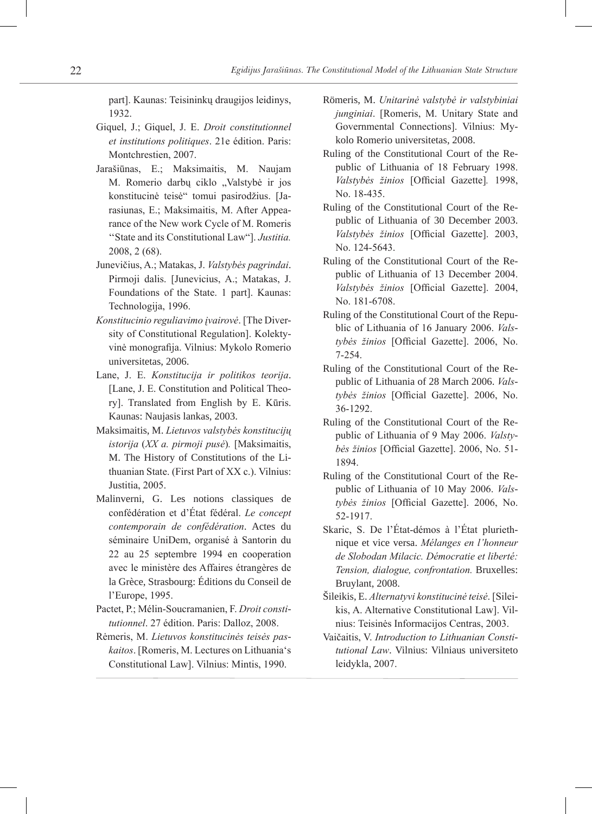part]. Kaunas: Teisininkų draugijos leidinys, 1932.

- Giquel, J.; Giquel, J. E. *Droit constitutionnel et institutions politiques*. 21e édition. Paris: Montchrestien, 2007.
- Jarašiūnas, E.; Maksimaitis, M. Naujam M. Romerio darbų ciklo "Valstybė ir jos konstitucinė teisė" tomui pasirodžius. [Jarasiunas, E.; Maksimaitis, M. After Appearance of the New work Cycle of M. Romeris ''State and its Constitutional Law"]. *Justitia.* 2008, 2 (68).
- Junevičius, A.; Matakas, J. *Valstybės pagrindai*. Pirmoji dalis. [Junevicius, A.; Matakas, J. Foundations of the State. 1 part]. Kaunas: Technologija, 1996.
- *Konstitucinio reguliavimo įvairovė*. [The Diversity of Constitutional Regulation]. Kolektyvinė monografija. Vilnius: Mykolo Romerio universitetas, 2006.
- Lane, J. E. *Konstitucija ir politikos teorija*. [Lane, J. E. Constitution and Political Theory]. Translated from English by E. Kūris. Kaunas: Naujasis lankas, 2003.
- Maksimaitis, M. *Lietuvos valstybės konstitucijų istorija* (*XX a. pirmoji pusė*)*.* [Maksimaitis, M. The History of Constitutions of the Lithuanian State. (First Part of XX c.). Vilnius: Justitia, 2005.
- Malinverni, G. Les notions classiques de confédération et d'État fédéral. *Le concept contemporain de confédération*. Actes du séminaire UniDem, organisé à Santorin du 22 au 25 septembre 1994 en cooperation avec le ministère des Affaires étrangères de la Grèce, Strasbourg: Éditions du Conseil de l'Europe, 1995.
- Pactet, P.; Mélin-Soucramanien, F. *Droit constitutionnel*. 27 édition. Paris: Dalloz, 2008.
- Rėmeris, M. *Lietuvos konstitucinės teisės paskaitos*. [Romeris, M. Lectures on Lithuania's Constitutional Law]. Vilnius: Mintis, 1990.
- Römeris, M. *Unitarinė valstybė ir valstybiniai junginiai*. [Romeris, M. Unitary State and Governmental Connections]. Vilnius: Mykolo Romerio universitetas, 2008.
- Ruling of the Constitutional Court of the Republic of Lithuania of 18 February 1998. *Valstybės žinios* [Official Gazette]*.* 1998, No. 18-435.
- Ruling of the Constitutional Court of the Republic of Lithuania of 30 December 2003. *Valstybės žinios* [Official Gazette]. 2003, No. 124-5643.
- Ruling of the Constitutional Court of the Republic of Lithuania of 13 December 2004. *Valstybės žinios* [Official Gazette]. 2004, No. 181-6708.
- Ruling of the Constitutional Court of the Republic of Lithuania of 16 January 2006. *Valstybės žinios* [Official Gazette]. 2006, No. 7-254.
- Ruling of the Constitutional Court of the Republic of Lithuania of 28 March 2006. *Valstybės žinios* [Official Gazette]. 2006, No. 36-1292.
- Ruling of the Constitutional Court of the Republic of Lithuania of 9 May 2006. *Valstybės žinios* [Official Gazette]. 2006, No. 51- 1894.
- Ruling of the Constitutional Court of the Republic of Lithuania of 10 May 2006. *Valstybės žinios* [Official Gazette]. 2006, No. 52-1917.
- Skaric, S. De l'État-démos à l'État pluriethnique et vice versa. *Mélanges en l'honneur de Slobodan Milacic. Démocratie et liberté: Tension, dialogue, confrontation.* Bruxelles: Bruylant, 2008.
- Šileikis, E. *Alternatyvi konstitucinė teisė*. [Sileikis, A. Alternative Constitutional Law]. Vilnius: Teisinės Informacijos Centras, 2003.
- Vaičaitis, V. *Introduction to Lithuanian Constitutional Law*. Vilnius: Vilniaus universiteto leidykla, 2007.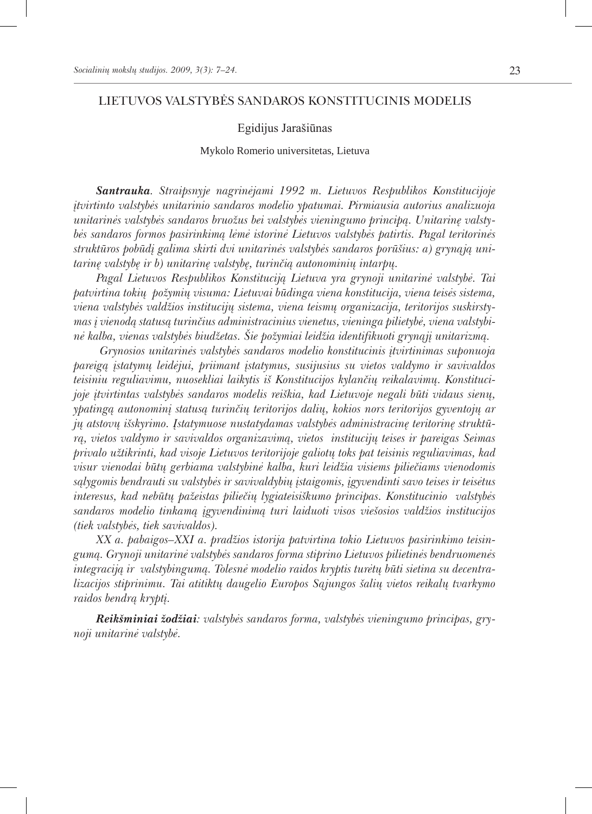#### LIETUVOS VALSTYBĖS SANDAROS KONSTITUCINIS MODELIS

#### Egidijus Jarašiūnas

#### Mykolo Romerio universitetas, Lietuva

*Santrauka. Straipsnyje nagrinėjami 1992 m. Lietuvos Respublikos Konstitucijoje įtvirtinto valstybės unitarinio sandaros modelio ypatumai. Pirmiausia autorius analizuoja unitarinės valstybės sandaros bruožus bei valstybės vieningumo principą. Unitarinę valstybės sandaros formos pasirinkimą lėmė istorinė Lietuvos valstybės patirtis. Pagal teritorinės struktūros pobūdį galima skirti dvi unitarinės valstybės sandaros porūšius: a) grynąją unitarinę valstybę ir b) unitarinę valstybę, turinčią autonominių intarpų.* 

*Pagal Lietuvos Respublikos Konstituciją Lietuva yra grynoji unitarinė valstybė. Tai patvirtina tokių požymių visuma: Lietuvai būdinga viena konstitucija, viena teisės sistema, viena valstybės valdžios institucijų sistema, viena teismų organizacija, teritorijos suskirstymas į vienodą statusą turinčius administracinius vienetus, vieninga pilietybė, viena valstybinė kalba, vienas valstybės biudžetas. Šie požymiai leidžia identifikuoti grynąjį unitarizmą.*

 *Grynosios unitarinės valstybės sandaros modelio konstitucinis įtvirtinimas suponuoja pareigą įstatymų leidėjui, priimant įstatymus, susijusius su vietos valdymo ir savivaldos teisiniu reguliavimu, nuosekliai laikytis iš Konstitucijos kylančių reikalavimų. Konstitucijoje įtvirtintas valstybės sandaros modelis reiškia, kad Lietuvoje negali būti vidaus sienų, ypatingą autonominį statusą turinčių teritorijos dalių, kokios nors teritorijos gyventojų ar jų atstovų išskyrimo. Įstatymuose nustatydamas valstybės administracinę teritorinę struktūrą, vietos valdymo ir savivaldos organizavimą, vietos institucijų teises ir pareigas Seimas privalo užtikrinti, kad visoje Lietuvos teritorijoje galiotų toks pat teisinis reguliavimas, kad visur vienodai būtų gerbiama valstybinė kalba, kuri leidžia visiems piliečiams vienodomis sąlygomis bendrauti su valstybės ir savivaldybių įstaigomis, įgyvendinti savo teises ir teisėtus interesus, kad nebūtų pažeistas piliečių lygiateisiškumo principas. Konstitucinio valstybės sandaros modelio tinkamą įgyvendinimą turi laiduoti visos viešosios valdžios institucijos (tiek valstybės, tiek savivaldos).*

*XX a. pabaigos–XXI a. pradžios istorija patvirtina tokio Lietuvos pasirinkimo teisingumą. Grynoji unitarinė valstybės sandaros forma stiprino Lietuvos pilietinės bendruomenės integraciją ir valstybingumą. Tolesnė modelio raidos kryptis turėtų būti sietina su decentralizacijos stiprinimu. Tai atitiktų daugelio Europos Sąjungos šalių vietos reikalų tvarkymo raidos bendrą kryptį.*

*Reikšminiai žodžiai: valstybės sandaros forma, valstybės vieningumo principas, grynoji unitarinė valstybė.*